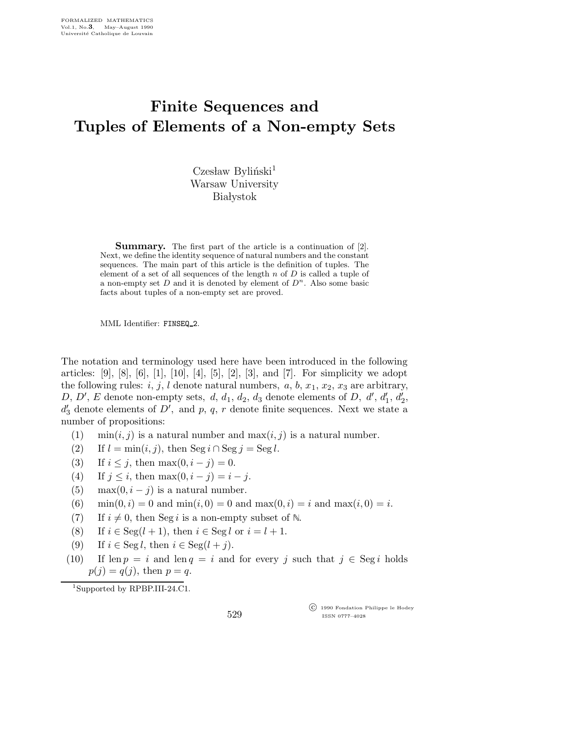## Finite Sequences and Tuples of Elements of a Non-empty Sets

 $C$ zesław Byliński<sup>1</sup> Warsaw University **Białystok** 

Summary. The first part of the article is a continuation of [2]. Next, we define the identity sequence of natural numbers and the constant sequences. The main part of this article is the definition of tuples. The element of a set of all sequences of the length  $n$  of  $D$  is called a tuple of a non-empty set  $D$  and it is denoted by element of  $D<sup>n</sup>$ . Also some basic facts about tuples of a non-empty set are proved.

MML Identifier: FINSEQ 2.

The notation and terminology used here have been introduced in the following articles: [9], [8], [6], [1], [10], [4], [5], [2], [3], and [7]. For simplicity we adopt the following rules: i, j, l denote natural numbers, a, b,  $x_1, x_2, x_3$  are arbitrary, D, D', E denote non-empty sets,  $d, d_1, d_2, d_3$  denote elements of D,  $d', d'_1, d'_2$ ,  $d'_3$  denote elements of  $D'$ , and p, q, r denote finite sequences. Next we state a number of propositions:

- (1)  $\min(i, j)$  is a natural number and  $\max(i, j)$  is a natural number.
- (2) If  $l = \min(i, j)$ , then  $\text{Seg } i \cap \text{Seg } j = \text{Seg } l$ .
- (3) If  $i \leq j$ , then max $(0, i j) = 0$ .
- (4) If  $j \leq i$ , then max $(0, i j) = i j$ .
- (5) max $(0, i j)$  is a natural number.
- (6) min $(0, i) = 0$  and min $(i, 0) = 0$  and max $(0, i) = i$  and max $(i, 0) = i$ .
- (7) If  $i \neq 0$ , then Seg i is a non-empty subset of N.
- (8) If  $i \in \text{Seg}(l + 1)$ , then  $i \in \text{Seg } l$  or  $i = l + 1$ .
- (9) If  $i \in \text{Seg } l$ , then  $i \in \text{Seg}(l + j)$ .
- (10) If  $\text{len } p = i$  and  $\text{len } q = i$  and for every j such that  $j \in \text{Seg } i$  holds  $p(j) = q(j)$ , then  $p = q$ .

<sup>1</sup>Supported by RPBP.III-24.C1.

 c 1990 Fondation Philippe le Hodey ISSN 0777–4028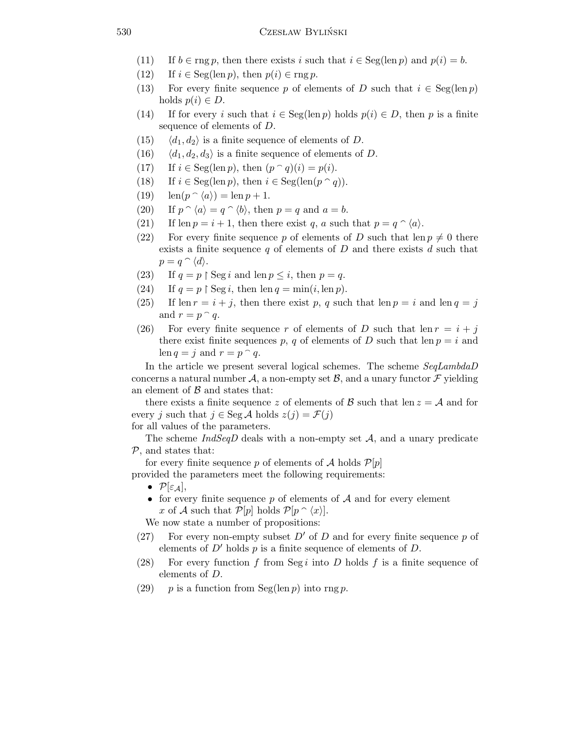## 530 Czesław Byliński

- (11) If  $b \in \text{rng } p$ , then there exists i such that  $i \in \text{Seg}(\text{len } p)$  and  $p(i) = b$ .
- (12) If  $i \in \text{Seg}(\text{len } p)$ , then  $p(i) \in \text{rng } p$ .
- (13) For every finite sequence p of elements of D such that  $i \in \text{Seg}(\text{len } p)$ holds  $p(i) \in D$ .
- (14) If for every i such that  $i \in \text{Seg}(\text{len } p)$  holds  $p(i) \in D$ , then p is a finite sequence of elements of D.
- $(15)$   $\langle d_1, d_2 \rangle$  is a finite sequence of elements of D.
- (16)  $\langle d_1, d_2, d_3 \rangle$  is a finite sequence of elements of D.
- (17) If  $i \in \text{Seg}(\text{len } p)$ , then  $(p \cap q)(i) = p(i)$ .
- (18) If  $i \in \text{Seg}(\text{len } p)$ , then  $i \in \text{Seg}(\text{len}(p \cap q))$ .
- (19)  $\text{len}(p \cap \langle a \rangle) = \text{len } p + 1.$
- (20) If  $p \cap \langle a \rangle = q \cap \langle b \rangle$ , then  $p = q$  and  $a = b$ .
- (21) If len  $p = i + 1$ , then there exist q, a such that  $p = q \hat{ } \langle a \rangle$ .
- (22) For every finite sequence p of elements of D such that len  $p \neq 0$  there exists a finite sequence  $q$  of elements of  $D$  and there exists  $d$  such that  $p = q \,\, \hat{\,} \, \langle d \rangle.$
- (23) If  $q = p \restriction \text{Seg } i$  and len  $p \leq i$ , then  $p = q$ .
- (24) If  $q = p \restriction \text{Seg } i$ , then  $\text{len } q = \min(i, \text{len } p)$ .
- (25) If len  $r = i + j$ , then there exist p, q such that len  $p = i$  and len  $q = j$ and  $r = p \nvert q$ .
- (26) For every finite sequence r of elements of D such that len  $r = i + j$ there exist finite sequences p, q of elements of D such that len  $p = i$  and len  $q = j$  and  $r = p \nvert q$ .

In the article we present several logical schemes. The scheme SeqLambdaD concerns a natural number  $\mathcal{A}$ , a non-empty set  $\mathcal{B}$ , and a unary functor  $\mathcal{F}$  yielding an element of  $\beta$  and states that:

there exists a finite sequence z of elements of  $\mathcal{B}$  such that len  $z = \mathcal{A}$  and for every j such that  $j \in \text{Seg } \mathcal{A}$  holds  $z(j) = \mathcal{F}(j)$ 

for all values of the parameters.

The scheme  $IndSeqD$  deals with a non-empty set  $A$ , and a unary predicate  $P$ , and states that:

for every finite sequence p of elements of A holds  $\mathcal{P}[p]$ provided the parameters meet the following requirements:

- $\mathcal{P}[\varepsilon_{\mathcal{A}}],$
- for every finite sequence p of elements of  $A$  and for every element x of A such that  $\mathcal{P}[p]$  holds  $\mathcal{P}[p \cap \langle x \rangle]$ .

We now state a number of propositions:

- (27) For every non-empty subset  $D'$  of D and for every finite sequence p of elements of  $D'$  holds p is a finite sequence of elements of D.
- (28) For every function f from Seg i into D holds f is a finite sequence of elements of D.
- (29) p is a function from Seg(len p) into rng p.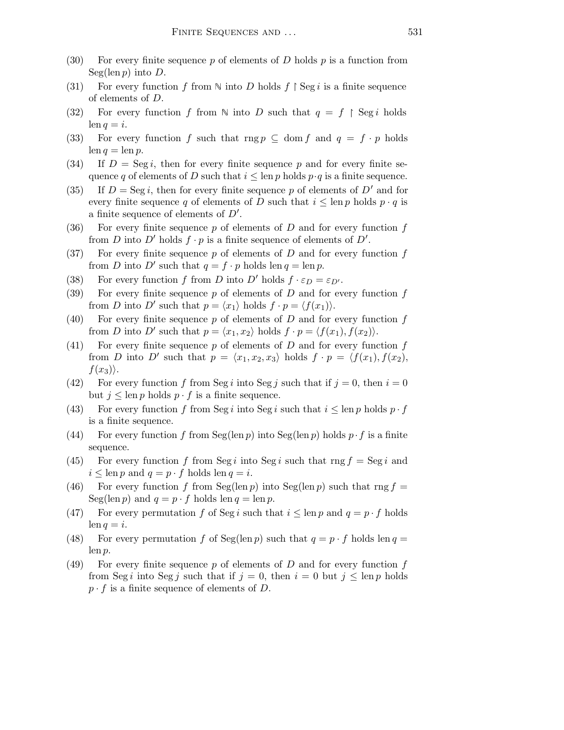- (30) For every finite sequence p of elements of D holds  $p$  is a function from  $Seg(len p)$  into D.
- (31) For every function f from  $\mathbb N$  into D holds  $f \restriction \text{Seg } i$  is a finite sequence of elements of D.
- (32) For every function f from  $\mathbb N$  into D such that  $q = f \restriction \text{Seg } i$  holds  $\operatorname{len} q = i.$
- (33) For every function f such that rng  $p \subseteq \text{dom } f$  and  $q = f \cdot p$  holds  $\operatorname{len} q = \operatorname{len} p.$
- (34) If  $D = \text{Seg } i$ , then for every finite sequence p and for every finite sequence q of elements of D such that  $i \leq \text{len } p$  holds  $p \cdot q$  is a finite sequence.
- (35) If  $D = \text{Seg } i$ , then for every finite sequence p of elements of  $D'$  and for every finite sequence q of elements of D such that  $i \leq \text{len } p$  holds  $p \cdot q$  is a finite sequence of elements of  $D'$ .
- (36) For every finite sequence  $p$  of elements of  $D$  and for every function  $f$ from D into D' holds  $f \cdot p$  is a finite sequence of elements of D'.
- (37) For every finite sequence  $p$  of elements of  $D$  and for every function  $f$ from D into D' such that  $q = f \cdot p$  holds len  $q = \text{len } p$ .
- (38) For every function f from D into D' holds  $f \cdot \varepsilon_D = \varepsilon_{D'}$ .
- (39) For every finite sequence  $p$  of elements of  $D$  and for every function  $f$ from D into D' such that  $p = \langle x_1 \rangle$  holds  $f \cdot p = \langle f(x_1) \rangle$ .
- (40) For every finite sequence  $p$  of elements of  $D$  and for every function  $f$ from D into D' such that  $p = \langle x_1, x_2 \rangle$  holds  $f \cdot p = \langle f(x_1), f(x_2) \rangle$ .
- (41) For every finite sequence p of elements of  $D$  and for every function  $f$ from D into D' such that  $p = \langle x_1, x_2, x_3 \rangle$  holds  $f \cdot p = \langle f(x_1), f(x_2), \rangle$  $f(x_3)\rangle.$
- (42) For every function f from Seg i into Seg j such that if  $j = 0$ , then  $i = 0$ but  $j \leq \text{len } p$  holds  $p \cdot f$  is a finite sequence.
- (43) For every function f from Seg i into Seg i such that  $i \leq \text{len } p$  holds  $p \cdot f$ is a finite sequence.
- (44) For every function f from Seg(len p) into Seg(len p) holds  $p \cdot f$  is a finite sequence.
- (45) For every function f from Seg i into Seg i such that rng  $f = \text{Seg } i$  and  $i \leq \text{len } p$  and  $q = p \cdot f$  holds  $\text{len } q = i$ .
- (46) For every function f from Seg(len p) into Seg(len p) such that rng  $f =$ Seg(len p) and  $q = p \cdot f$  holds len  $q = \text{len } p$ .
- (47) For every permutation f of Seg i such that  $i \leq \text{len } p$  and  $q = p \cdot f$  holds  $\operatorname{len} q = i.$
- (48) For every permutation f of Seg(len p) such that  $q = p \cdot f$  holds len  $q =$ len p.
- (49) For every finite sequence p of elements of D and for every function f from Seg *i* into Seg *j* such that if  $j = 0$ , then  $i = 0$  but  $j \leq \text{len } p$  holds  $p \cdot f$  is a finite sequence of elements of D.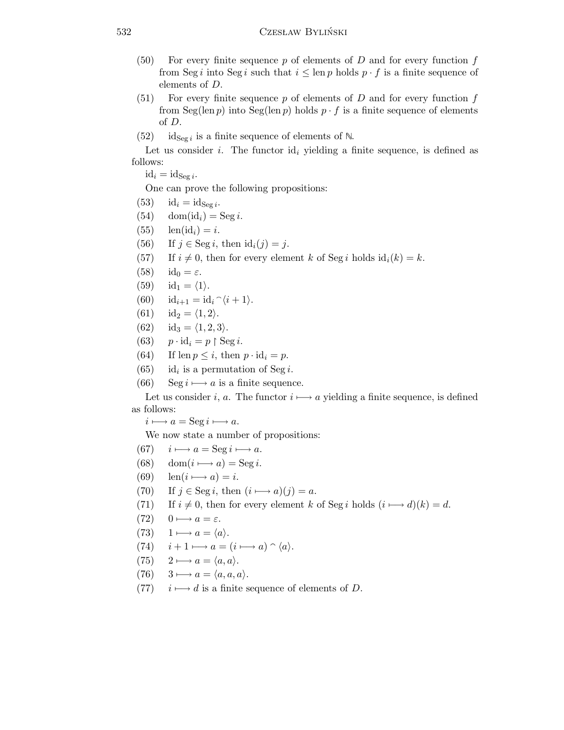- $(50)$  For every finite sequence p of elements of D and for every function f from Seg i into Seg i such that  $i \leq \text{len } p$  holds  $p \cdot f$  is a finite sequence of elements of D.
- $(51)$  For every finite sequence p of elements of D and for every function f from Seg(len p) into Seg(len p) holds  $p \cdot f$  is a finite sequence of elements of D.
- (52) id<sub>Seg i</sub> is a finite sequence of elements of  $\mathbb{N}$ .

Let us consider i. The functor  $\mathrm{id}_i$  yielding a finite sequence, is defined as follows:

 $id_i = id_{\text{Seg }i}.$ 

One can prove the following propositions:

- (53)  $id_i = id_{\text{Seg }i}.$
- (54) dom(id<sub>i</sub>) = Seg i.
- $(55)$  len(id<sub>i</sub>) = i.
- (56) If  $j \in \text{Seg } i$ , then  $\text{id}_i(j) = j$ .
- (57) If  $i \neq 0$ , then for every element k of Seg i holds  $id_i(k) = k$ .
- (58)  $id_0 = \varepsilon$ .
- $(59)$  id<sub>1</sub> =  $\langle 1 \rangle$ .
- (60)  $id_{i+1} = id_i \hat{\ } \langle i+1 \rangle.$
- (61) id<sub>2</sub> =  $\langle 1, 2 \rangle$ .
- (62) id<sub>3</sub> =  $\langle 1, 2, 3 \rangle$ .
- (63)  $p \cdot \text{id}_i = p \restriction \text{Seg } i.$
- (64) If len  $p \leq i$ , then  $p \cdot id_i = p$ .
- $(65)$  $id_i$  is a permutation of Seg i.
- (66) Seg  $i \mapsto a$  is a finite sequence.

Let us consider i, a. The functor  $i \mapsto a$  yielding a finite sequence, is defined as follows:

 $i \longmapsto a = \operatorname{Seg } i \longmapsto a.$ 

We now state a number of propositions:

- (67)  $i \mapsto a = \text{Seg } i \mapsto a$ .
- (68) dom $(i \rightarrow a) = \text{Seg } i$ .
- (69)  $\operatorname{len}(i \longmapsto a) = i.$
- (70) If  $j \in \text{Seg } i$ , then  $(i \rightarrow a)(j) = a$ .
- (71) If  $i \neq 0$ , then for every element k of Seg i holds  $(i \rightarrow d)(k) = d$ .
- $(72)$  0  $\longrightarrow a = \varepsilon$ .
- (73)  $1 \longmapsto a = \langle a \rangle$ .
- (74)  $i + 1 \mapsto a = (i \mapsto a) \cap \langle a \rangle$ .
- $(75)$  2  $\longrightarrow a = \langle a,a \rangle$ .
- $(76)$  3  $\longrightarrow$   $a = \langle a,a,a \rangle$ .
- (77)  $i \mapsto d$  is a finite sequence of elements of D.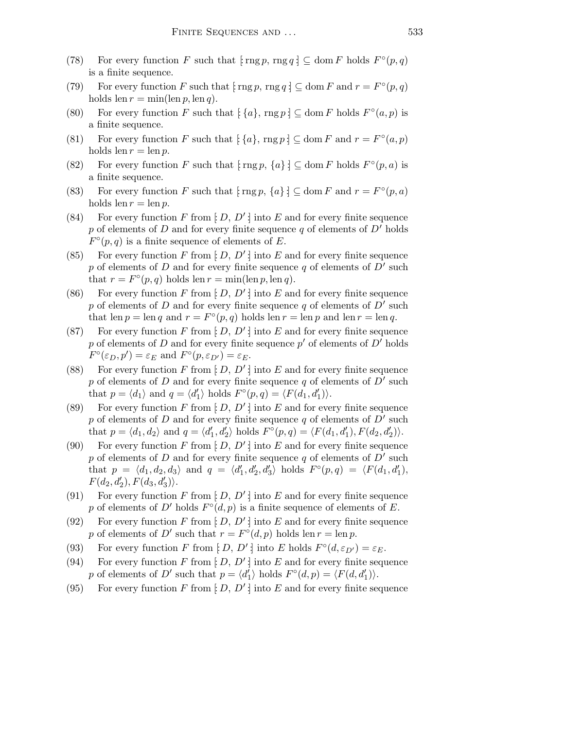- (78) For every function F such that  $\lfloor \text{rng } p, \text{rng } q \rfloor \subseteq \text{dom } F$  holds  $F^{\circ}(p,q)$ is a finite sequence.
- (79) For every function F such that  $[\text{rng } p, \text{rng } q] \subseteq \text{dom } F$  and  $r = F^{\circ}(p, q)$ holds len  $r = \min(\text{len } p, \text{len } q)$ .
- (80) For every function F such that  $\lbrack \{a\}$ ,  $\text{rng } p \rbrack \subseteq \text{dom } F$  holds  $F^{\circ}(a, p)$  is a finite sequence.
- (81) For every function F such that  $\{a\}$ , rng  $p \} \subseteq \text{dom } F$  and  $r = F^{\circ}(a, p)$ holds len  $r = \text{len } p$ .
- (82) For every function F such that  $\lceil \text{rng } p, \{a\} \rceil \subseteq \text{dom } F$  holds  $F^{\circ}(p, a)$  is a finite sequence.
- (83) For every function F such that  $\{\text{rng } p, \{a\} \} \subseteq \text{dom } F$  and  $r = F^{\circ}(p, a)$ holds len  $r = \text{len } p$ .
- (84) For every function F from  $[D, D']$  into E and for every finite sequence p of elements of D and for every finite sequence q of elements of  $D'$  holds  $F^{\circ}(p,q)$  is a finite sequence of elements of E.
- (85) For every function F from  $[D, D']$  into E and for every finite sequence p of elements of D and for every finite sequence q of elements of  $\overline{D}'$  such that  $r = F^{\circ}(p, q)$  holds len  $r = \min(\text{len } p, \text{len } q)$ .
- (86) For every function F from  $[D, D']$  into E and for every finite sequence p of elements of D and for every finite sequence q of elements of  $\overline{D}'$  such that len  $p = \text{len } q$  and  $r = F^{\circ}(p, q)$  holds len  $r = \text{len } p$  and len  $r = \text{len } q$ .
- (87) For every function F from  $[D, D']$  into E and for every finite sequence p of elements of D and for every finite sequence  $p'$  of elements of  $D'$  holds  $F^{\circ}(\varepsilon_D, p') = \varepsilon_E$  and  $F^{\circ}(p, \varepsilon_{D'}) = \varepsilon_E$ .
- (88) For every function F from  $[D, D']$  into E and for every finite sequence p of elements of D and for every finite sequence q of elements of  $\overline{D'}$  such that  $p = \langle d_1 \rangle$  and  $q = \langle d'_1 \rangle$  holds  $F^{\circ}(p,q) = \langle F(d_1, d'_1) \rangle$ .
- (89) For every function F from  $[D, D']$  into E and for every finite sequence p of elements of D and for every finite sequence q of elements of  $\overline{D'}$  such that  $p = \langle d_1, d_2 \rangle$  and  $q = \langle d'_1, d'_2 \rangle$  holds  $F^{\circ}(p,q) = \langle F(d_1, d'_1), F(d_2, d'_2) \rangle$ .
- (90) For every function F from  $[D, D']$  into E and for every finite sequence p of elements of D and for every finite sequence q of elements of  $\overline{D'}$  such that  $p = \langle d_1, d_2, d_3 \rangle$  and  $q = \langle d'_1, d'_2, d'_3 \rangle$  holds  $F^{\circ}(p,q) = \langle F(d_1, d'_1),$  $F(d_2, d'_2), F(d_3, d'_3)\rangle.$
- (91) For every function F from  $[D, D']$  into E and for every finite sequence p of elements of D' holds  $F^{\circ}(d, p)$  is a finite sequence of elements of E.
- (92) For every function F from  $[D, D']$  into E and for every finite sequence p of elements of D' such that  $r = F^{\circ}(d, p)$  holds len  $r = \text{len } p$ .
- (93) For every function F from  $[D, D']$  into E holds  $F^{\circ}(d, \varepsilon_{D'}) = \varepsilon_E$ .
- (94) For every function F from  $[D, D']$  into E and for every finite sequence p of elements of D' such that  $p = \langle d'_1 \rangle$  holds  $F^{\circ}(d, p) = \langle F(d, d'_1) \rangle$ .
- (95) For every function F from  $[D, D']$  into E and for every finite sequence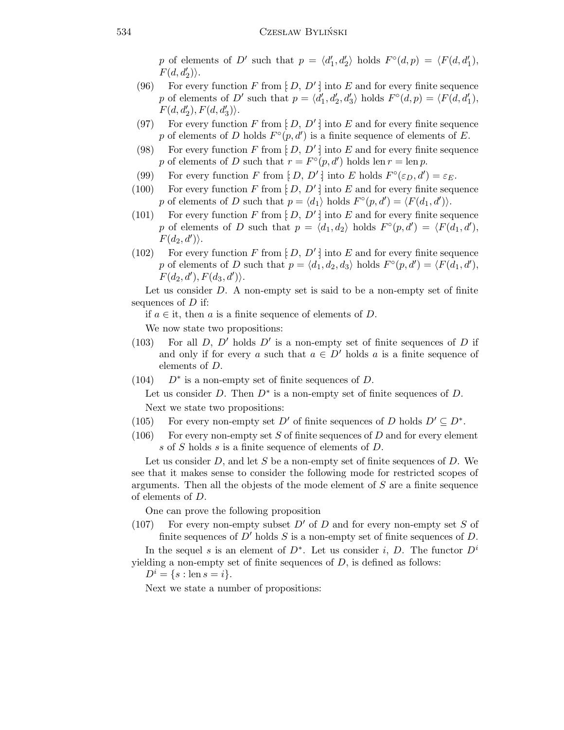p of elements of D' such that  $p = \langle d'_1, d'_2 \rangle$  holds  $F^{\circ}(d, p) = \langle F(d, d'_1),$  $F(d, d'_2)\rangle.$ 

- (96) For every function F from  $[D, D']$  into E and for every finite sequence p of elements of D' such that  $p = \langle d'_1, d'_2, d'_3 \rangle$  holds  $F^{\circ}(d, p) = \langle F(d, d'_1),$  $F(d, d'_2), F(d, d'_3)\rangle.$
- (97) For every function F from  $[D, D']$  into E and for every finite sequence p of elements of D holds  $F^{\circ}(p, d')$  is a finite sequence of elements of E.
- (98) For every function F from  $[D, D']$  into E and for every finite sequence p of elements of D such that  $r = F^{\circ}(p, d')$  holds len  $r = \text{len } p$ .
- (99) For every function F from  $[D, D']$  into E holds  $F^{\circ}(\varepsilon_D, d') = \varepsilon_E$ .
- (100) For every function F from  $[D, D']$  into E and for every finite sequence p of elements of D such that  $p = \langle d_1 \rangle$  holds  $F^{\circ}(p, d') = \langle F(d_1, d') \rangle$ .
- (101) For every function F from  $\vert D, D' \vert$  into E and for every finite sequence p of elements of D such that  $p = \langle d_1, d_2 \rangle$  holds  $F^{\circ}(p, d') = \langle F(d_1, d'),$  $F(d_2, d')\rangle.$
- (102) For every function F from  $[D, D']$  into E and for every finite sequence p of elements of D such that  $p = \langle d_1, d_2, d_3 \rangle$  holds  $F^{\circ}(p, d') = \langle F(d_1, d'),$  $F(d_2, d'), F(d_3, d')\rangle.$

Let us consider  $D$ . A non-empty set is said to be a non-empty set of finite sequences of  $D$  if:

if  $a \in \mathfrak{t}$ , then a is a finite sequence of elements of D.

We now state two propositions:

- (103) For all  $D$ ,  $D'$  holds  $D'$  is a non-empty set of finite sequences of  $D$  if and only if for every a such that  $a \in D'$  holds a is a finite sequence of elements of D.
- $(104)$  $D^*$  is a non-empty set of finite sequences of D.

Let us consider D. Then  $D^*$  is a non-empty set of finite sequences of D. Next we state two propositions:

- (105) For every non-empty set  $D'$  of finite sequences of D holds  $D' \subseteq D^*$ .
- (106) For every non-empty set  $S$  of finite sequences of  $D$  and for every element s of S holds s is a finite sequence of elements of D.

Let us consider  $D$ , and let  $S$  be a non-empty set of finite sequences of  $D$ . We see that it makes sense to consider the following mode for restricted scopes of arguments. Then all the objests of the mode element of S are a finite sequence of elements of D.

One can prove the following proposition

(107) For every non-empty subset  $D'$  of D and for every non-empty set S of finite sequences of  $D'$  holds S is a non-empty set of finite sequences of D.

In the sequel s is an element of  $D^*$ . Let us consider i, D. The functor  $D^i$ yielding a non-empty set of finite sequences of  $D$ , is defined as follows:

 $D^i = \{s : \text{len } s = i\}.$ 

Next we state a number of propositions: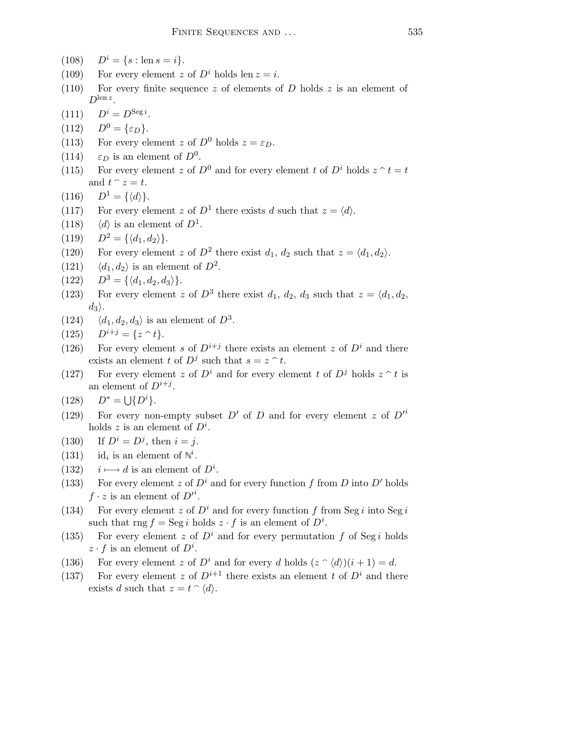- (108)  $D^i = \{s : \text{len } s = i\}.$
- (109) For every element z of  $D^i$  holds len  $z = i$ .
- (110) For every finite sequence z of elements of D holds z is an element of  $D^{\text{len }z}$ .
- (111)  $D^i = D^{\text{Seg }i}$ .
- (112)  $D^0 = {\varepsilon_D}.$
- (113) For every element z of  $D^0$  holds  $z = \varepsilon_D$ .
- (114)  $\varepsilon_D$  is an element of  $D^0$ .
- (115) For every element z of  $D^0$  and for every element t of  $D^i$  holds  $z \hat{ } t = t$ and  $t \hat{z} = t$ .
- (116)  $D^1 = {\langle d \rangle}.$
- (117) For every element z of  $D^1$  there exists d such that  $z = \langle d \rangle$ .
- (118)  $\langle d \rangle$  is an element of  $D^1$ .

(119) 
$$
D^2 = \{ \langle d_1, d_2 \rangle \}.
$$

- (120) For every element z of  $D^2$  there exist  $d_1, d_2$  such that  $z = \langle d_1, d_2 \rangle$ .
- (121)  $\langle d_1, d_2 \rangle$  is an element of  $D^2$ .
- $(122)$   $D^3 = \{\langle d_1, d_2, d_3 \rangle\}.$
- (123) For every element z of  $D^3$  there exist  $d_1, d_2, d_3$  such that  $z = \langle d_1, d_2, d_3 \rangle$  $d_3$ .
- (124)  $\langle d_1, d_2, d_3 \rangle$  is an element of  $D^3$ .
- (125)  $D^{i+j} = \{z \cap t\}.$
- (126) For every element s of  $D^{i+j}$  there exists an element z of  $D^i$  and there exists an element t of  $D^j$  such that  $s = z \n\hat{\ } t$ .
- (127) For every element z of  $D^i$  and for every element t of  $D^j$  holds  $z \uparrow t$  is an element of  $D^{i+j}$ .

$$
(128) \qquad D^* = \bigcup \{ D^i \}.
$$

- (129) For every non-empty subset  $D'$  of D and for every element z of  $D'^i$ holds z is an element of  $D^i$ .
- (130) If  $D^{i} = D^{j}$ , then  $i = j$ .
- $(131)$ is an element of  $\mathbb{N}^i$ .
- (132)  $i \mapsto d$  is an element of  $D^i$ .
- (133) For every element z of  $D^i$  and for every function f from D into D' holds  $f \cdot z$  is an element of  $D'^i$ .
- (134) For every element z of  $D^i$  and for every function f from Seg i into Seg i such that  $\text{rng } f = \text{Seg } i \text{ holds } z \cdot f$  is an element of  $D^i$ .
- (135) For every element z of  $D^i$  and for every permutation f of Seg i holds  $z \cdot f$  is an element of  $D^i$ .
- (136) For every element z of  $D^i$  and for every d holds  $(z \cap \langle d \rangle)(i + 1) = d$ .
- (137) For every element z of  $D^{i+1}$  there exists an element t of  $D^i$  and there exists d such that  $z = t \hat{ } \langle d \rangle$ .